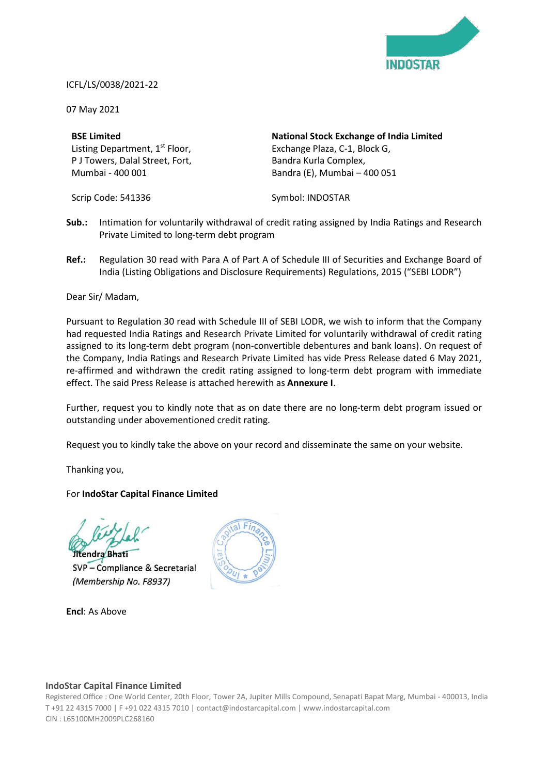

### ICFL/LS/0038/2021-22

07 May 2021

### **BSE Limited**

Listing Department, 1<sup>st</sup> Floor, P J Towers, Dalal Street, Fort, Mumbai - 400 001

Scrip Code: 541336

**National Stock Exchange of India Limited** Exchange Plaza, C-1, Block G, Bandra Kurla Complex, Bandra (E), Mumbai – 400 051

Symbol: INDOSTAR

- **Sub.:** Intimation for voluntarily withdrawal of credit rating assigned by India Ratings and Research Private Limited to long-term debt program
- **Ref.:** Regulation 30 read with Para A of Part A of Schedule III of Securities and Exchange Board of India (Listing Obligations and Disclosure Requirements) Regulations, 2015 ("SEBI LODR")

Dear Sir/ Madam,

Pursuant to Regulation 30 read with Schedule III of SEBI LODR, we wish to inform that the Company had requested India Ratings and Research Private Limited for voluntarily withdrawal of credit rating assigned to its long-term debt program (non-convertible debentures and bank loans). On request of the Company, India Ratings and Research Private Limited has vide Press Release dated 6 May 2021, re-affirmed and withdrawn the credit rating assigned to long-term debt program with immediate effect. The said Press Release is attached herewith as **Annexure I**.

Further, request you to kindly note that as on date there are no long-term debt program issued or outstanding under abovementioned credit rating.

Request you to kindly take the above on your record and disseminate the same on your website.

Thanking you,

For **IndoStar Capital Finance Limited**

tendra Bhati

SVP - Compliance & Secretarial (Membership No. F8937)

**Encl**: As Above



### **IndoStar Capital Finance Limited**

Registered Office : One World Center, 20th Floor, Tower 2A, Jupiter Mills Compound, Senapati Bapat Marg, Mumbai - 400013, India T +91 22 4315 7000 | F +91 022 4315 7010 | contact@indostarcapital.com | www.indostarcapital.com CIN : L65100MH2009PLC268160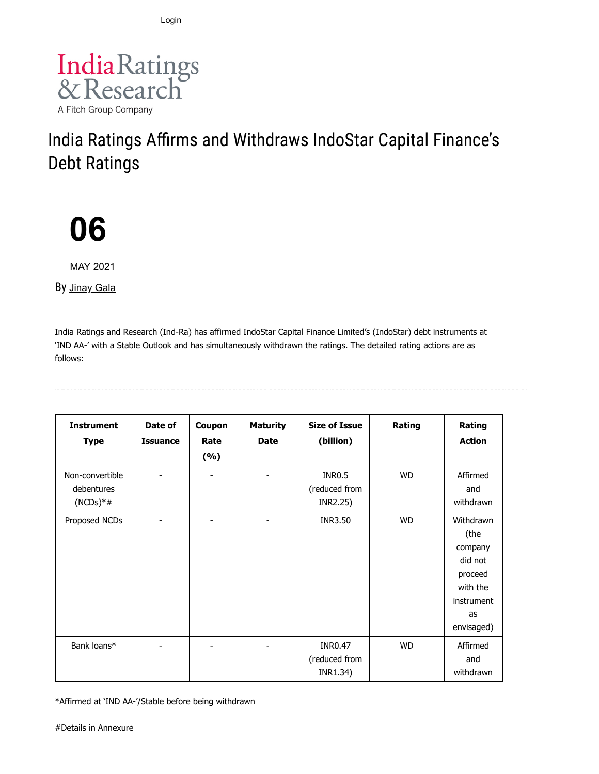[Login](#page-2-0)



# India Ratings Affirms and Withdraws IndoStar Capital Finance's Debt Ratings

06

MAY 2021

By [Jinay Gala](https://www.indiaratings.co.in/Analyst?analystID=165&analystName=Jinay%20Gala)

India Ratings and Research (Ind-Ra) has affirmed IndoStar Capital Finance Limited's (IndoStar) debt instruments at 'IND AA-' with a Stable Outlook and has simultaneously withdrawn the ratings. The detailed rating actions are as follows:

| <b>Instrument</b><br><b>Type</b>            | Date of<br><b>Issuance</b> | Coupon<br>Rate<br>(%) | <b>Maturity</b><br><b>Date</b> | <b>Size of Issue</b><br>(billion)           | Rating    | Rating<br><b>Action</b>                                                                          |
|---------------------------------------------|----------------------------|-----------------------|--------------------------------|---------------------------------------------|-----------|--------------------------------------------------------------------------------------------------|
| Non-convertible<br>debentures<br>$(NCDs)*#$ |                            |                       |                                | <b>INR0.5</b><br>(reduced from<br>INR2.25)  | <b>WD</b> | Affirmed<br>and<br>withdrawn                                                                     |
| Proposed NCDs                               |                            |                       |                                | INR3.50                                     | <b>WD</b> | Withdrawn<br>(the<br>company<br>did not<br>proceed<br>with the<br>instrument<br>as<br>envisaged) |
| Bank loans*                                 |                            |                       |                                | <b>INR0.47</b><br>(reduced from<br>INR1.34) | <b>WD</b> | Affirmed<br>and<br>withdrawn                                                                     |

\*Affirmed at 'IND AA-'/Stable before being withdrawn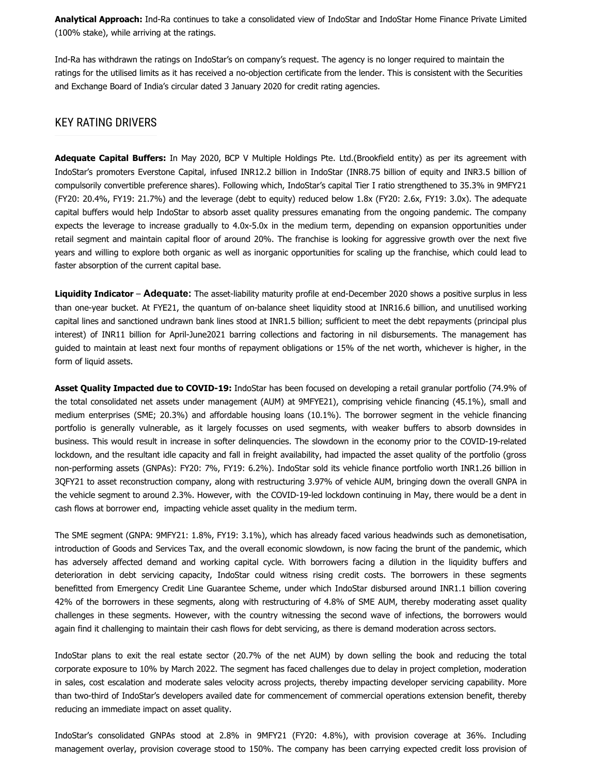Analytical Approach: Ind-Ra continues to take a consolidated view of IndoStar and IndoStar Home Finance Private Limited (100% stake), while arriving at the ratings.

Ind-Ra has withdrawn the ratings on IndoStar's on company's request. The agency is no longer required to maintain the ratings for the utilised limits as it has received a no-objection certificate from the lender. This is consistent with the Securities and Exchange Board of India's circular dated 3 January 2020 for credit rating agencies.

### KEY RATING DRIVERS

<span id="page-2-0"></span>Adequate Capital Buffers: In May 2020, BCP V Multiple Holdings Pte. Ltd.(Brookfield entity) as per its agreement with IndoStar's promoters Everstone Capital, infused INR12.2 billion in IndoStar (INR8.75 billion of equity and INR3.5 billion of compulsorily convertible preference shares). Following which, IndoStar's capital Tier I ratio strengthened to 35.3% in 9MFY21 (FY20: 20.4%, FY19: 21.7%) and the leverage (debt to equity) reduced below 1.8x (FY20: 2.6x, FY19: 3.0x). The adequate capital buffers would help IndoStar to absorb asset quality pressures emanating from the ongoing pandemic. The company expects the leverage to increase gradually to 4.0x-5.0x in the medium term, depending on expansion opportunities under retail segment and maintain capital floor of around 20%. The franchise is looking for aggressive growth over the next five years and willing to explore both organic as well as inorganic opportunities for scaling up the franchise, which could lead to faster absorption of the current capital base.

Liquidity Indicator – Adequate: The asset-liability maturity profile at end-December 2020 shows a positive surplus in less than one-year bucket. At FYE21, the quantum of on-balance sheet liquidity stood at INR16.6 billion, and unutilised working capital lines and sanctioned undrawn bank lines stood at INR1.5 billion; sufficient to meet the debt repayments (principal plus interest) of INR11 billion for April-June2021 barring collections and factoring in nil disbursements. The management has guided to maintain at least next four months of repayment obligations or 15% of the net worth, whichever is higher, in the form of liquid assets.

Asset Quality Impacted due to COVID-19: IndoStar has been focused on developing a retail granular portfolio (74.9% of the total consolidated net assets under management (AUM) at 9MFYE21), comprising vehicle financing (45.1%), small and medium enterprises (SME; 20.3%) and affordable housing loans (10.1%). The borrower segment in the vehicle financing portfolio is generally vulnerable, as it largely focusses on used segments, with weaker buffers to absorb downsides in business. This would result in increase in softer delinquencies. The slowdown in the economy prior to the COVID-19-related lockdown, and the resultant idle capacity and fall in freight availability, had impacted the asset quality of the portfolio (gross non-performing assets (GNPAs): FY20: 7%, FY19: 6.2%). IndoStar sold its vehicle finance portfolio worth INR1.26 billion in 3QFY21 to asset reconstruction company, along with restructuring 3.97% of vehicle AUM, bringing down the overall GNPA in the vehicle segment to around 2.3%. However, with the COVID-19-led lockdown continuing in May, there would be a dent in cash flows at borrower end, impacting vehicle asset quality in the medium term.

The SME segment (GNPA: 9MFY21: 1.8%, FY19: 3.1%), which has already faced various headwinds such as demonetisation, introduction of Goods and Services Tax, and the overall economic slowdown, is now facing the brunt of the pandemic, which has adversely affected demand and working capital cycle. With borrowers facing a dilution in the liquidity buffers and deterioration in debt servicing capacity, IndoStar could witness rising credit costs. The borrowers in these segments benefitted from Emergency Credit Line Guarantee Scheme, under which IndoStar disbursed around INR1.1 billion covering 42% of the borrowers in these segments, along with restructuring of 4.8% of SME AUM, thereby moderating asset quality challenges in these segments. However, with the country witnessing the second wave of infections, the borrowers would again find it challenging to maintain their cash flows for debt servicing, as there is demand moderation across sectors.

IndoStar plans to exit the real estate sector (20.7% of the net AUM) by down selling the book and reducing the total corporate exposure to 10% by March 2022. The segment has faced challenges due to delay in project completion, moderation in sales, cost escalation and moderate sales velocity across projects, thereby impacting developer servicing capability. More than two-third of IndoStar's developers availed date for commencement of commercial operations extension benefit, thereby reducing an immediate impact on asset quality.

IndoStar's consolidated GNPAs stood at 2.8% in 9MFY21 (FY20: 4.8%), with provision coverage at 36%. Including management overlay, provision coverage stood to 150%. The company has been carrying expected credit loss provision of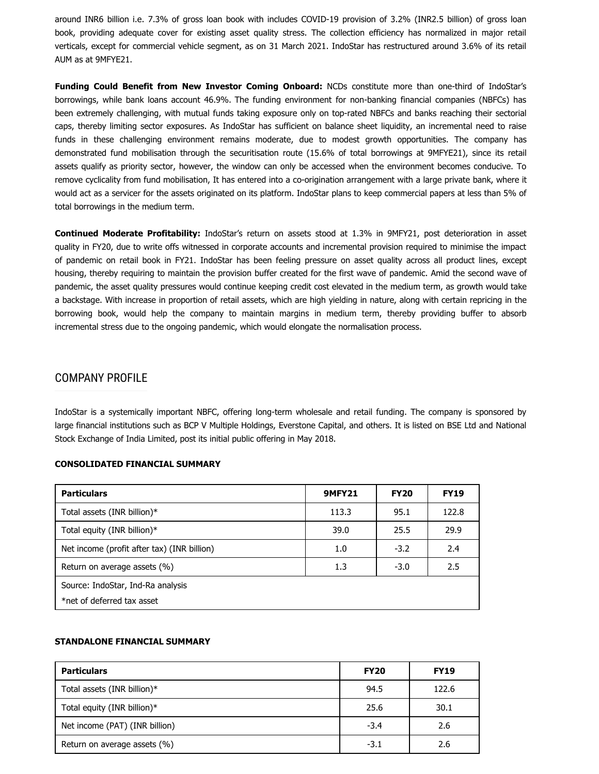around INR6 billion i.e. 7.3% of gross loan book with includes COVID-19 provision of 3.2% (INR2.5 billion) of gross loan book, providing adequate cover for existing asset quality stress. The collection efficiency has normalized in major retail verticals, except for commercial vehicle segment, as on 31 March 2021. IndoStar has restructured around 3.6% of its retail AUM as at 9MFYE21.

Funding Could Benefit from New Investor Coming Onboard: NCDs constitute more than one-third of IndoStar's borrowings, while bank loans account 46.9%. The funding environment for non-banking financial companies (NBFCs) has been extremely challenging, with mutual funds taking exposure only on top-rated NBFCs and banks reaching their sectorial caps, thereby limiting sector exposures. As IndoStar has sufficient on balance sheet liquidity, an incremental need to raise funds in these challenging environment remains moderate, due to modest growth opportunities. The company has demonstrated fund mobilisation through the securitisation route (15.6% of total borrowings at 9MFYE21), since its retail assets qualify as priority sector, however, the window can only be accessed when the environment becomes conducive. To remove cyclicality from fund mobilisation, It has entered into a co-origination arrangement with a large private bank, where it would act as a servicer for the assets originated on its platform. IndoStar plans to keep commercial papers at less than 5% of total borrowings in the medium term.

Continued Moderate Profitability: IndoStar's return on assets stood at 1.3% in 9MFY21, post deterioration in asset quality in FY20, due to write offs witnessed in corporate accounts and incremental provision required to minimise the impact of pandemic on retail book in FY21. IndoStar has been feeling pressure on asset quality across all product lines, except housing, thereby requiring to maintain the provision buffer created for the first wave of pandemic. Amid the second wave of pandemic, the asset quality pressures would continue keeping credit cost elevated in the medium term, as growth would take a backstage. With increase in proportion of retail assets, which are high yielding in nature, along with certain repricing in the borrowing book, would help the company to maintain margins in medium term, thereby providing buffer to absorb incremental stress due to the ongoing pandemic, which would elongate the normalisation process.

### COMPANY PROFILE

IndoStar is a systemically important NBFC, offering long-term wholesale and retail funding. The company is sponsored by large financial institutions such as BCP V Multiple Holdings, Everstone Capital, and others. It is listed on BSE Ltd and National Stock Exchange of India Limited, post its initial public offering in May 2018.

#### CONSOLIDATED FINANCIAL SUMMARY

| <b>Particulars</b>                          | <b>9MFY21</b> | <b>FY20</b> | <b>FY19</b> |  |  |
|---------------------------------------------|---------------|-------------|-------------|--|--|
| Total assets (INR billion)*                 | 113.3         | 95.1        | 122.8       |  |  |
| Total equity (INR billion)*                 | 39.0          | 25.5        | 29.9        |  |  |
| Net income (profit after tax) (INR billion) | 1.0           | $-3.2$      | 2.4         |  |  |
| Return on average assets (%)                | 1.3           | $-3.0$      | 2.5         |  |  |
| Source: IndoStar, Ind-Ra analysis           |               |             |             |  |  |
| *net of deferred tax asset                  |               |             |             |  |  |

#### STANDALONE FINANCIAL SUMMARY

| <b>Particulars</b>             | <b>FY20</b> | <b>FY19</b> |
|--------------------------------|-------------|-------------|
| Total assets (INR billion)*    | 94.5        | 122.6       |
| Total equity (INR billion)*    | 25.6        | 30.1        |
| Net income (PAT) (INR billion) | $-3.4$      | 2.6         |
| Return on average assets (%)   | $-3.1$      | 2.6         |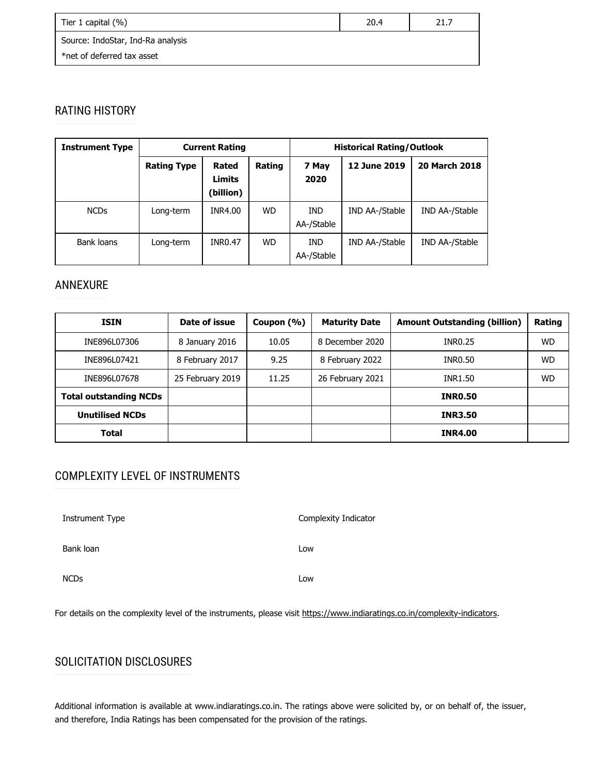| Tier 1 capital (%)                | 20.4 | 21.7 |
|-----------------------------------|------|------|
| Source: IndoStar, Ind-Ra analysis |      |      |
| *net of deferred tax asset        |      |      |

# RATING HISTORY

| <b>Instrument Type</b> | <b>Current Rating</b> |                                     |           |                          | <b>Historical Rating/Outlook</b> |                      |  |
|------------------------|-----------------------|-------------------------------------|-----------|--------------------------|----------------------------------|----------------------|--|
|                        | <b>Rating Type</b>    | Rated<br><b>Limits</b><br>(billion) | Rating    | 7 May<br>2020            | 12 June 2019                     | <b>20 March 2018</b> |  |
| <b>NCDs</b>            | Long-term             | INR4.00                             | <b>WD</b> | <b>IND</b><br>AA-/Stable | IND AA-/Stable                   | IND AA-/Stable       |  |
| Bank loans             | Long-term             | <b>INR0.47</b>                      | WD.       | IND.<br>AA-/Stable       | IND AA-/Stable                   | IND AA-/Stable       |  |

### ANNEXURE

| <b>ISIN</b>                   | Date of issue    | Coupon $(\% )$ | <b>Maturity Date</b> | <b>Amount Outstanding (billion)</b> | Rating    |
|-------------------------------|------------------|----------------|----------------------|-------------------------------------|-----------|
| INE896L07306                  | 8 January 2016   | 10.05          | 8 December 2020      | <b>INR0.25</b>                      | <b>WD</b> |
| INE896L07421                  | 8 February 2017  | 9.25           | 8 February 2022      | INR0.50                             | <b>WD</b> |
| INE896L07678                  | 25 February 2019 | 11.25          | 26 February 2021     | INR1.50                             | <b>WD</b> |
| <b>Total outstanding NCDs</b> |                  |                |                      | <b>INR0.50</b>                      |           |
| <b>Unutilised NCDs</b>        |                  |                |                      | <b>INR3.50</b>                      |           |
| <b>Total</b>                  |                  |                |                      | <b>INR4.00</b>                      |           |

# COMPLEXITY LEVEL OF INSTRUMENTS

| Instrument Type | Complexity Indicator |  |
|-----------------|----------------------|--|
| Bank loan       | Low                  |  |
| <b>NCDs</b>     | Low                  |  |

For details on the complexity level of the instruments, please visit <https://www.indiaratings.co.in/complexity-indicators>.

# SOLICITATION DISCLOSURES

Additional information is available at www.indiaratings.co.in. The ratings above were solicited by, or on behalf of, the issuer, and therefore, India Ratings has been compensated for the provision of the ratings.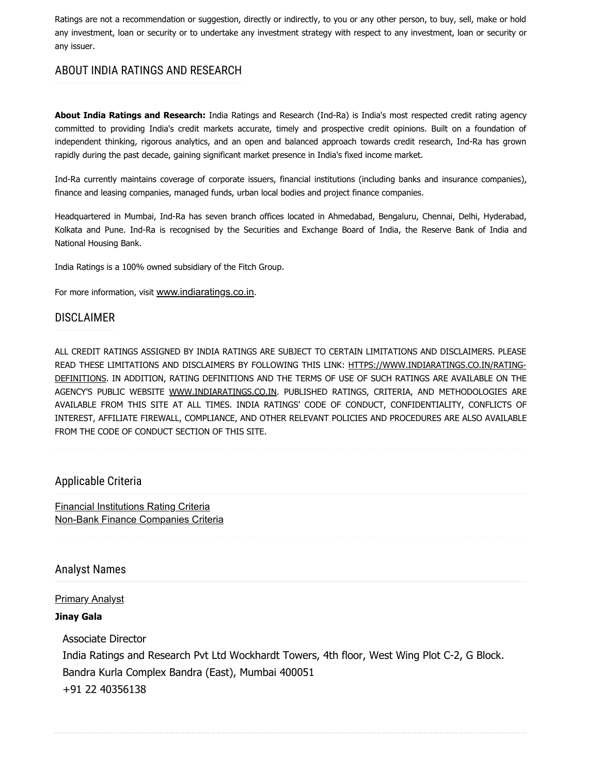Ratings are not a recommendation or suggestion, directly or indirectly, to you or any other person, to buy, sell, make or hold any investment, loan or security or to undertake any investment strategy with respect to any investment, loan or security or any issuer.

### ABOUT INDIA RATINGS AND RESEARCH

About India Ratings and Research: India Ratings and Research (Ind-Ra) is India's most respected credit rating agency committed to providing India's credit markets accurate, timely and prospective credit opinions. Built on a foundation of independent thinking, rigorous analytics, and an open and balanced approach towards credit research, Ind-Ra has grown rapidly during the past decade, gaining significant market presence in India's fixed income market.

Ind-Ra currently maintains coverage of corporate issuers, financial institutions (including banks and insurance companies), finance and leasing companies, managed funds, urban local bodies and project finance companies.

Headquartered in Mumbai, Ind-Ra has seven branch offices located in Ahmedabad, Bengaluru, Chennai, Delhi, Hyderabad, Kolkata and Pune. Ind-Ra is recognised by the Securities and Exchange Board of India, the Reserve Bank of India and National Housing Bank.

India Ratings is a 100% owned subsidiary of the Fitch Group.

For more information, visit [www.indiaratings.co.in](http://www.indiaratings.co.in/).

### DISCLAIMER

ALL CREDIT RATINGS ASSIGNED BY INDIA RATINGS ARE SUBJECT TO CERTAIN LIMITATIONS AND DISCLAIMERS. PLEASE [READ THESE LIMITATIONS AND DISCLAIMERS BY FOLLOWING THIS LINK: HTTPS://WWW.INDIARATINGS.CO.IN/RATING-](https://www.indiaratings.co.in/rating-definitions)DEFINITIONS. IN ADDITION, RATING DEFINITIONS AND THE TERMS OF USE OF SUCH RATINGS ARE AVAILABLE ON THE AGENCY'S PUBLIC WEBSITE [WWW.INDIARATINGS.CO.IN.](http://www.indiaratings.co.in/) PUBLISHED RATINGS, CRITERIA, AND METHODOLOGIES ARE AVAILABLE FROM THIS SITE AT ALL TIMES. INDIA RATINGS' CODE OF CONDUCT, CONFIDENTIALITY, CONFLICTS OF INTEREST, AFFILIATE FIREWALL, COMPLIANCE, AND OTHER RELEVANT POLICIES AND PROCEDURES ARE ALSO AVAILABLE FROM THE CODE OF CONDUCT SECTION OF THIS SITE.

### Applicable Criteria

[Financial Institutions Rating Criteria](https://www.indiaratings.co.in/Uploads/CriteriaReport/Financial%20Institutions%20Rating%20Criteria.pdf) [Non-Bank Finance Companies Criteria](https://www.indiaratings.co.in/Uploads/CriteriaReport/Non%20Bank%20Finance%20Companies%20Criteria.pdf)

### Analyst Names

#### **[Primary Analyst](#page-2-0)**

#### Jinay Gala

Associate Director India Ratings and Research Pvt Ltd Wockhardt Towers, 4th floor, West Wing Plot C-2, G Block. Bandra Kurla Complex Bandra (East), Mumbai 400051 +91 22 40356138